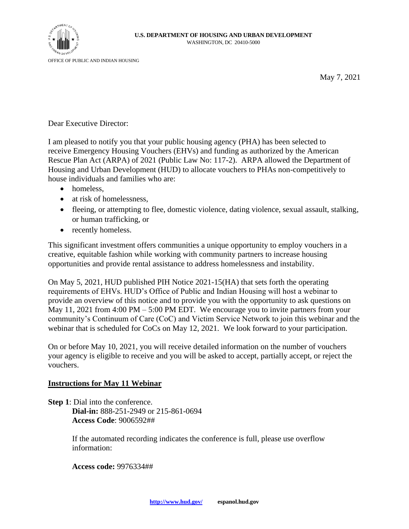

May 7, 2021

Dear Executive Director:

I am pleased to notify you that your public housing agency (PHA) has been selected to receive Emergency Housing Vouchers (EHVs) and funding as authorized by the American Rescue Plan Act (ARPA) of 2021 (Public Law No: 117-2). ARPA allowed the Department of Housing and Urban Development (HUD) to allocate vouchers to PHAs non-competitively to house individuals and families who are:

- homeless.
- at risk of homelessness,
- fleeing, or attempting to flee, domestic violence, dating violence, sexual assault, stalking, or human trafficking, or
- recently homeless.

This significant investment offers communities a unique opportunity to employ vouchers in a creative, equitable fashion while working with community partners to increase housing opportunities and provide rental assistance to address homelessness and instability.

On May 5, 2021, HUD published PIH Notice 2021-15(HA) that sets forth the operating requirements of EHVs. HUD's Office of Public and Indian Housing will host a webinar to provide an overview of this notice and to provide you with the opportunity to ask questions on May 11, 2021 from 4:00 PM – 5:00 PM EDT. We encourage you to invite partners from your community's Continuum of Care (CoC) and Victim Service Network to join this webinar and the webinar that is scheduled for CoCs on May 12, 2021. We look forward to your participation.

On or before May 10, 2021, you will receive detailed information on the number of vouchers your agency is eligible to receive and you will be asked to accept, partially accept, or reject the vouchers.

## **Instructions for May 11 Webinar**

**Step 1**: Dial into the conference. **Dial-in:** 888-251-2949 or 215-861-0694 **Access Code**: 9006592##

> If the automated recording indicates the conference is full, please use overflow information:

**Access code:** 9976334##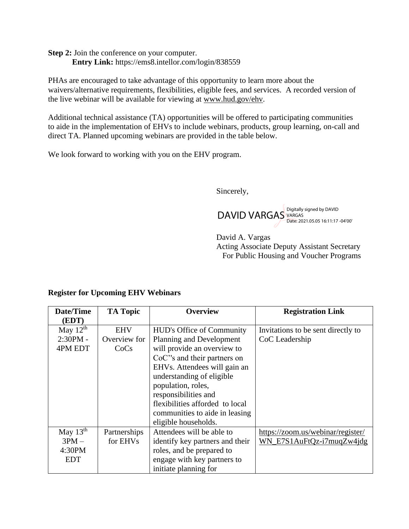**Step 2:** Join the conference on your computer. **Entry Link:** <https://ems8.intellor.com/login/838559>

PHAs are encouraged to take advantage of this opportunity to learn more about the waivers/alternative requirements, flexibilities, eligible fees, and services. A recorded version of the live webinar will be available for viewing at [www.hud.gov/ehv.](http://www.hud.gov/ehv)

Additional technical assistance (TA) opportunities will be offered to participating communities to aide in the implementation of EHVs to include webinars, products, group learning, on-call and direct TA. Planned upcoming webinars are provided in the table below.

We look forward to working with you on the EHV program.

Sincerely,

DAVID VARGAS Digitally signed by DAVID Date: 2021.05.05 16:11:17 -04'00'

David A. Vargas Acting Associate Deputy Assistant Secretary For Public Housing and Voucher Programs

## **Register for Upcoming EHV Webinars**

| Date/Time     | <b>TA Topic</b> | <b>Overview</b>                 | <b>Registration Link</b>           |
|---------------|-----------------|---------------------------------|------------------------------------|
| (EDT)         |                 |                                 |                                    |
| May $12^{th}$ | <b>EHV</b>      | HUD's Office of Community       | Invitations to be sent directly to |
| $2:30PM -$    | Overview for    | Planning and Development        | CoC Leadership                     |
| 4PM EDT       | CoCs            | will provide an overview to     |                                    |
|               |                 | CoC''s and their partners on    |                                    |
|               |                 | EHVs. Attendees will gain an    |                                    |
|               |                 | understanding of eligible       |                                    |
|               |                 | population, roles,              |                                    |
|               |                 | responsibilities and            |                                    |
|               |                 | flexibilities afforded to local |                                    |
|               |                 | communities to aide in leasing  |                                    |
|               |                 | eligible households.            |                                    |
| May $13th$    | Partnerships    | Attendees will be able to       | https://zoom.us/webinar/register/  |
| $3PM -$       | for EHVs        | identify key partners and their | WN_E7S1AuFtQz-i7muqZw4jdg          |
| 4:30PM        |                 | roles, and be prepared to       |                                    |
| <b>EDT</b>    |                 | engage with key partners to     |                                    |
|               |                 | initiate planning for           |                                    |